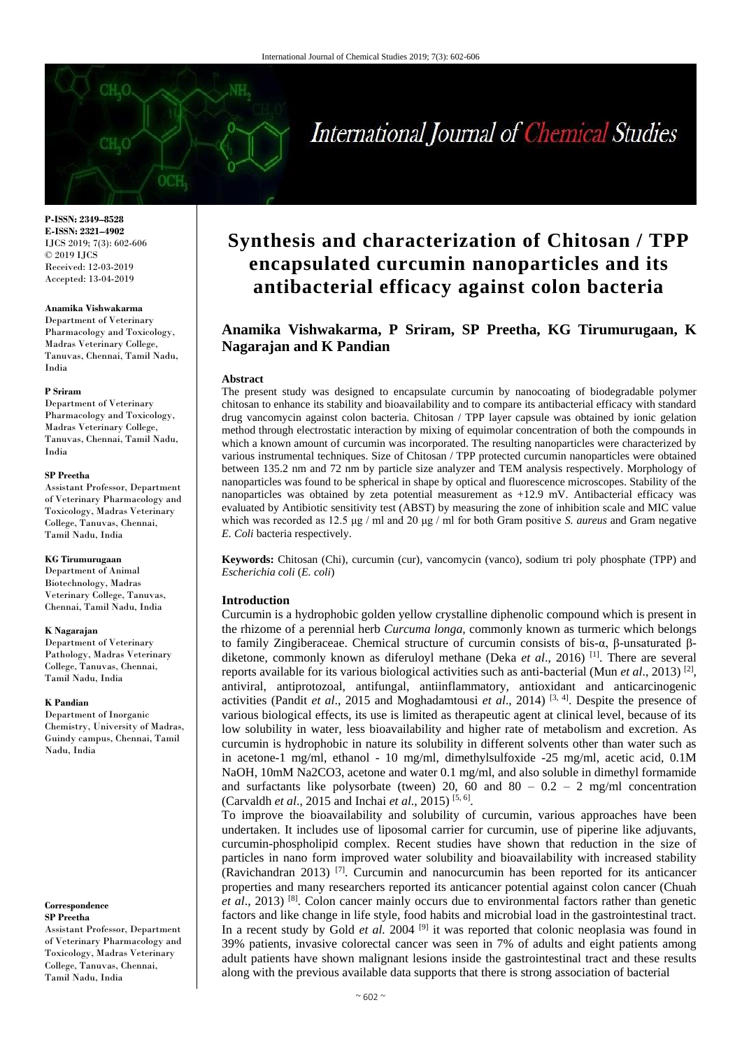# International Journal of Chemical Studies

**P-ISSN: 2349–8528 E-ISSN: 2321–4902** IJCS 2019; 7(3): 602-606 © 2019 IJCS Received: 12-03-2019 Accepted: 13-04-2019

#### **Anamika Vishwakarma**

Department of Veterinary Pharmacology and Toxicology, Madras Veterinary College, Tanuvas, Chennai, Tamil Nadu, India

#### **P Sriram**

Department of Veterinary Pharmacology and Toxicology, Madras Veterinary College, Tanuvas, Chennai, Tamil Nadu, India

#### **SP Preetha**

Assistant Professor, Department of Veterinary Pharmacology and Toxicology, Madras Veterinary College, Tanuvas, Chennai, Tamil Nadu, India

#### **KG Tirumurugaan**

Department of Animal Biotechnology, Madras Veterinary College, Tanuvas, Chennai, Tamil Nadu, India

#### **K Nagarajan**

Department of Veterinary Pathology, Madras Veterinary College, Tanuvas, Chennai, Tamil Nadu, India

#### **K Pandian**

Department of Inorganic Chemistry, University of Madras, Guindy campus, Chennai, Tamil Nadu, India

#### **Correspondence SP Preetha**

Assistant Professor, Department of Veterinary Pharmacology and Toxicology, Madras Veterinary College, Tanuvas, Chennai, Tamil Nadu, India

## **Synthesis and characterization of Chitosan / TPP encapsulated curcumin nanoparticles and its antibacterial efficacy against colon bacteria**

## **Anamika Vishwakarma, P Sriram, SP Preetha, KG Tirumurugaan, K Nagarajan and K Pandian**

#### **Abstract**

The present study was designed to encapsulate curcumin by nanocoating of biodegradable polymer chitosan to enhance its stability and bioavailability and to compare its antibacterial efficacy with standard drug vancomycin against colon bacteria. Chitosan / TPP layer capsule was obtained by ionic gelation method through electrostatic interaction by mixing of equimolar concentration of both the compounds in which a known amount of curcumin was incorporated. The resulting nanoparticles were characterized by various instrumental techniques. Size of Chitosan / TPP protected curcumin nanoparticles were obtained between 135.2 nm and 72 nm by particle size analyzer and TEM analysis respectively. Morphology of nanoparticles was found to be spherical in shape by optical and fluorescence microscopes. Stability of the nanoparticles was obtained by zeta potential measurement as +12.9 mV. Antibacterial efficacy was evaluated by Antibiotic sensitivity test (ABST) by measuring the zone of inhibition scale and MIC value which was recorded as 12.5 μg / ml and 20 μg / ml for both Gram positive *S. aureus* and Gram negative *E. Coli* bacteria respectively.

**Keywords:** Chitosan (Chi), curcumin (cur), vancomycin (vanco), sodium tri poly phosphate (TPP) and *Escherichia coli* (*E. coli*)

#### **Introduction**

Curcumin is a hydrophobic golden yellow crystalline diphenolic compound which is present in the rhizome of a perennial herb *Curcuma longa,* commonly known as turmeric which belongs to family Zingiberaceae. Chemical structure of curcumin consists of bis-α, β-unsaturated βdiketone, commonly known as diferuloyl methane (Deka *et al*., 2016) [1]. There are several reports available for its various biological activities such as anti-bacterial (Mun *et al.*, 2013)<sup>[2]</sup>, antiviral, antiprotozoal, antifungal, antiinflammatory, antioxidant and anticarcinogenic activities (Pandit *et al*., 2015 and Moghadamtousi *et al*., 2014) [3, 4]. Despite the presence of various biological effects, its use is limited as therapeutic agent at clinical level, because of its low solubility in water, less bioavailability and higher rate of metabolism and excretion. As curcumin is hydrophobic in nature its solubility in different solvents other than water such as in acetone-1 mg/ml, ethanol - 10 mg/ml, dimethylsulfoxide -25 mg/ml, acetic acid, 0.1M NaOH, 10mM Na2CO3, acetone and water 0.1 mg/ml, and also soluble in dimethyl formamide and surfactants like polysorbate (tween) 20, 60 and 80 –  $0.2 - 2$  mg/ml concentration (Carvaldh *et al*., 2015 and Inchai *et al*., 2015) [5, 6] .

To improve the bioavailability and solubility of curcumin, various approaches have been undertaken. It includes use of liposomal carrier for curcumin, use of piperine like adjuvants, curcumin-phospholipid complex. Recent studies have shown that reduction in the size of particles in nano form improved water solubility and bioavailability with increased stability (Ravichandran 2013)  $[7]$ . Curcumin and nanocurcumin has been reported for its anticancer properties and many researchers reported its anticancer potential against colon cancer (Chuah *et al*., 2013) [8]. Colon cancer mainly occurs due to environmental factors rather than genetic factors and like change in life style, food habits and microbial load in the gastrointestinal tract. In a recent study by Gold *et al.* 2004<sup>[9]</sup> it was reported that colonic neoplasia was found in 39% patients, invasive colorectal cancer was seen in 7% of adults and eight patients among adult patients have shown malignant lesions inside the gastrointestinal tract and these results along with the previous available data supports that there is strong association of bacterial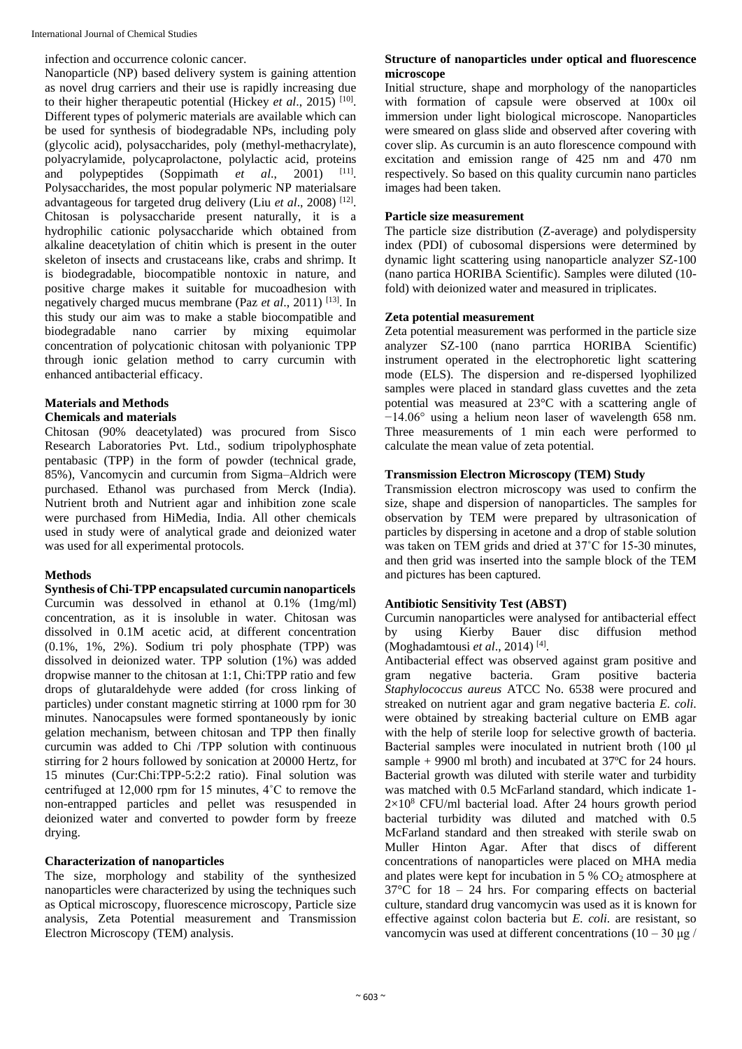infection and occurrence colonic cancer.

Nanoparticle (NP) based delivery system is gaining attention as novel drug carriers and their use is rapidly increasing due to their higher therapeutic potential (Hickey *et al.*, 2015)<sup>[10]</sup>. Different types of polymeric materials are available which can be used for synthesis of biodegradable NPs, including poly (glycolic acid), polysaccharides, poly (methyl-methacrylate), polyacrylamide, polycaprolactone, polylactic acid, proteins and polypeptides (Soppimath *et al.*, 2001) <sup>[11]</sup>. Polysaccharides, the most popular polymeric NP materialsare advantageous for targeted drug delivery (Liu et al., 2008)<sup>[12]</sup>. Chitosan is polysaccharide present naturally, it is a hydrophilic cationic polysaccharide which obtained from alkaline deacetylation of chitin which is present in the outer skeleton of insects and crustaceans like, crabs and shrimp. It is biodegradable, biocompatible nontoxic in nature, and positive charge makes it suitable for mucoadhesion with negatively charged mucus membrane (Paz *et al*., 2011) [13]. In this study our aim was to make a stable biocompatible and biodegradable nano carrier by mixing equimolar concentration of polycationic chitosan with polyanionic TPP through ionic gelation method to carry curcumin with enhanced antibacterial efficacy.

## **Materials and Methods**

#### **Chemicals and materials**

Chitosan (90% deacetylated) was procured from Sisco Research Laboratories Pvt. Ltd., sodium tripolyphosphate pentabasic (TPP) in the form of powder (technical grade, 85%), Vancomycin and curcumin from Sigma–Aldrich were purchased. Ethanol was purchased from Merck (India). Nutrient broth and Nutrient agar and inhibition zone scale were purchased from HiMedia, India. All other chemicals used in study were of analytical grade and deionized water was used for all experimental protocols.

## **Methods**

**Synthesis of Chi-TPP encapsulated curcumin nanoparticels**  Curcumin was dessolved in ethanol at 0.1% (1mg/ml) concentration, as it is insoluble in water. Chitosan was dissolved in 0.1M acetic acid, at different concentration (0.1%, 1%, 2%). Sodium tri poly phosphate (TPP) was dissolved in deionized water. TPP solution (1%) was added dropwise manner to the chitosan at 1:1, Chi:TPP ratio and few drops of glutaraldehyde were added (for cross linking of particles) under constant magnetic stirring at 1000 rpm for 30 minutes. Nanocapsules were formed spontaneously by ionic gelation mechanism, between chitosan and TPP then finally curcumin was added to Chi /TPP solution with continuous stirring for 2 hours followed by sonication at 20000 Hertz, for 15 minutes (Cur:Chi:TPP-5:2:2 ratio). Final solution was centrifuged at 12,000 rpm for 15 minutes, 4˚C to remove the non-entrapped particles and pellet was resuspended in deionized water and converted to powder form by freeze drying.

## **Characterization of nanoparticles**

The size, morphology and stability of the synthesized nanoparticles were characterized by using the techniques such as Optical microscopy, fluorescence microscopy, Particle size analysis, Zeta Potential measurement and Transmission Electron Microscopy (TEM) analysis.

## **Structure of nanoparticles under optical and fluorescence microscope**

Initial structure, shape and morphology of the nanoparticles with formation of capsule were observed at 100x oil immersion under light biological microscope. Nanoparticles were smeared on glass slide and observed after covering with cover slip. As curcumin is an auto florescence compound with excitation and emission range of 425 nm and 470 nm respectively. So based on this quality curcumin nano particles images had been taken.

## **Particle size measurement**

The particle size distribution (Z-average) and polydispersity index (PDI) of cubosomal dispersions were determined by dynamic light scattering using nanoparticle analyzer SZ-100 (nano partica HORIBA Scientific). Samples were diluted (10 fold) with deionized water and measured in triplicates.

## **Zeta potential measurement**

Zeta potential measurement was performed in the particle size analyzer SZ-100 (nano parrtica HORIBA Scientific) instrument operated in the electrophoretic light scattering mode (ELS). The dispersion and re-dispersed lyophilized samples were placed in standard glass cuvettes and the zeta potential was measured at 23°C with a scattering angle of  $-14.06^\circ$  using a helium neon laser of wavelength 658 nm. Three measurements of 1 min each were performed to calculate the mean value of zeta potential.

## **Transmission Electron Microscopy (TEM) Study**

Transmission electron microscopy was used to confirm the size, shape and dispersion of nanoparticles. The samples for observation by TEM were prepared by ultrasonication of particles by dispersing in acetone and a drop of stable solution was taken on TEM grids and dried at 37˚C for 15-30 minutes, and then grid was inserted into the sample block of the TEM and pictures has been captured.

## **Antibiotic Sensitivity Test (ABST)**

Curcumin nanoparticles were analysed for antibacterial effect by using Kierby Bauer disc diffusion method (Moghadamtousi *et al*., 2014) [4] .

Antibacterial effect was observed against gram positive and<br>gram negative bacteria. Gram positive bacteria gram negative bacteria. Gram positive bacteria *Staphylococcus aureus* ATCC No. 6538 were procured and streaked on nutrient agar and gram negative bacteria *E. coli*. were obtained by streaking bacterial culture on EMB agar with the help of sterile loop for selective growth of bacteria. Bacterial samples were inoculated in nutrient broth (100 μl sample  $+9900$  ml broth) and incubated at 37 $\degree$ C for 24 hours. Bacterial growth was diluted with sterile water and turbidity was matched with 0.5 McFarland standard, which indicate 1-  $2\times10^8$  CFU/ml bacterial load. After 24 hours growth period bacterial turbidity was diluted and matched with 0.5 McFarland standard and then streaked with sterile swab on Muller Hinton Agar. After that discs of different concentrations of nanoparticles were placed on MHA media and plates were kept for incubation in  $5\%$  CO<sub>2</sub> atmosphere at  $37^{\circ}$ C for  $18 - 24$  hrs. For comparing effects on bacterial culture, standard drug vancomycin was used as it is known for effective against colon bacteria but *E. coli*. are resistant, so vancomycin was used at different concentrations (10 – 30 μg /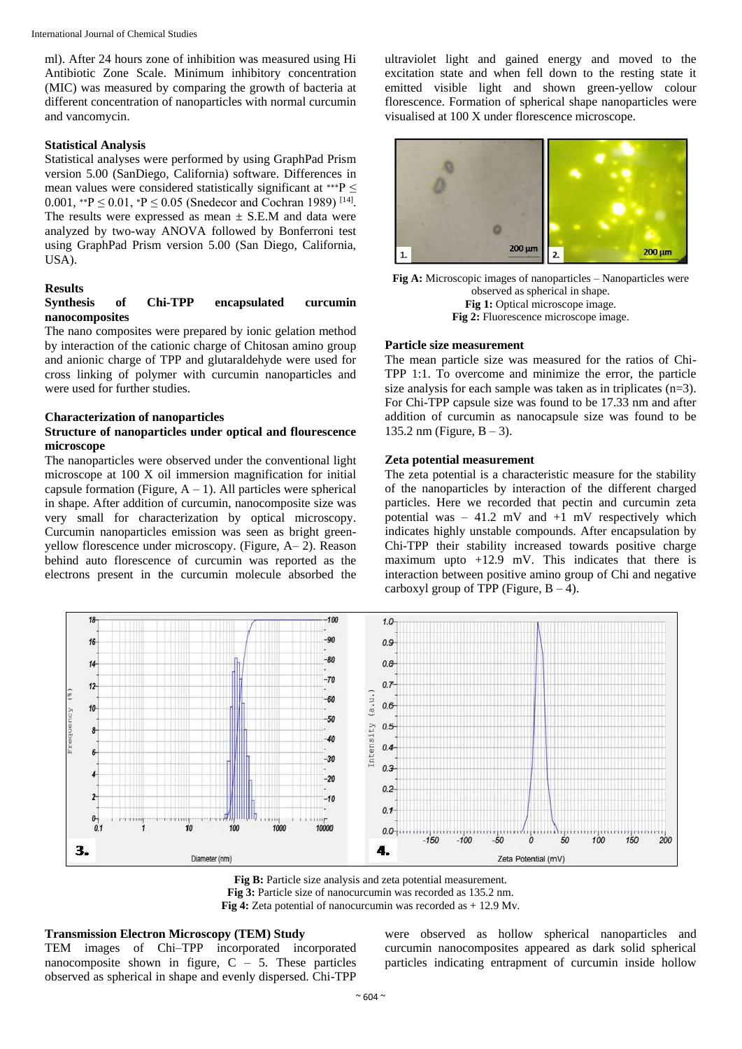ml). After 24 hours zone of inhibition was measured using Hi Antibiotic Zone Scale. Minimum inhibitory concentration (MIC) was measured by comparing the growth of bacteria at different concentration of nanoparticles with normal curcumin and vancomycin.

#### **Statistical Analysis**

Statistical analyses were performed by using GraphPad Prism version 5.00 (SanDiego, California) software. Differences in mean values were considered statistically significant at \*\*\* $P \leq$ 0.001, \*\* $P \le 0.01$ , \* $P \le 0.05$  (Snedecor and Cochran 1989)<sup>[14]</sup>. The results were expressed as mean  $\pm$  S.E.M and data were analyzed by two-way ANOVA followed by Bonferroni test using GraphPad Prism version 5.00 (San Diego, California, USA).

#### **Results**

#### **Synthesis of Chi-TPP encapsulated curcumin nanocomposites**

The nano composites were prepared by ionic gelation method by interaction of the cationic charge of Chitosan amino group and anionic charge of TPP and glutaraldehyde were used for cross linking of polymer with curcumin nanoparticles and were used for further studies.

#### **Characterization of nanoparticles**

#### **Structure of nanoparticles under optical and flourescence microscope**

The nanoparticles were observed under the conventional light microscope at 100 X oil immersion magnification for initial capsule formation (Figure,  $A - 1$ ). All particles were spherical in shape. After addition of curcumin, nanocomposite size was very small for characterization by optical microscopy. Curcumin nanoparticles emission was seen as bright greenyellow florescence under microscopy. (Figure, A– 2). Reason behind auto florescence of curcumin was reported as the electrons present in the curcumin molecule absorbed the

ultraviolet light and gained energy and moved to the excitation state and when fell down to the resting state it emitted visible light and shown green-yellow colour florescence. Formation of spherical shape nanoparticles were visualised at 100 X under florescence microscope.



**Fig A:** Microscopic images of nanoparticles – Nanoparticles were observed as spherical in shape. **Fig 1:** Optical microscope image. **Fig 2:** Fluorescence microscope image.

#### **Particle size measurement**

The mean particle size was measured for the ratios of Chi-TPP 1:1. To overcome and minimize the error, the particle size analysis for each sample was taken as in triplicates (n=3). For Chi-TPP capsule size was found to be 17.33 nm and after addition of curcumin as nanocapsule size was found to be 135.2 nm (Figure,  $B - 3$ ).

#### **Zeta potential measurement**

The zeta potential is a characteristic measure for the stability of the nanoparticles by interaction of the different charged particles. Here we recorded that pectin and curcumin zeta potential was – 41.2 mV and +1 mV respectively which indicates highly unstable compounds. After encapsulation by Chi-TPP their stability increased towards positive charge maximum upto  $+12.9$  mV. This indicates that there is interaction between positive amino group of Chi and negative carboxyl group of TPP (Figure,  $B - 4$ ).



**Fig B:** Particle size analysis and zeta potential measurement. **Fig 3:** Particle size of nanocurcumin was recorded as 135.2 nm. **Fig 4:** Zeta potential of nanocurcumin was recorded as + 12.9 Mv.

## **Transmission Electron Microscopy (TEM) Study**

TEM images of Chi–TPP incorporated incorporated nanocomposite shown in figure,  $C - 5$ . These particles observed as spherical in shape and evenly dispersed. Chi-TPP

were observed as hollow spherical nanoparticles and curcumin nanocomposites appeared as dark solid spherical particles indicating entrapment of curcumin inside hollow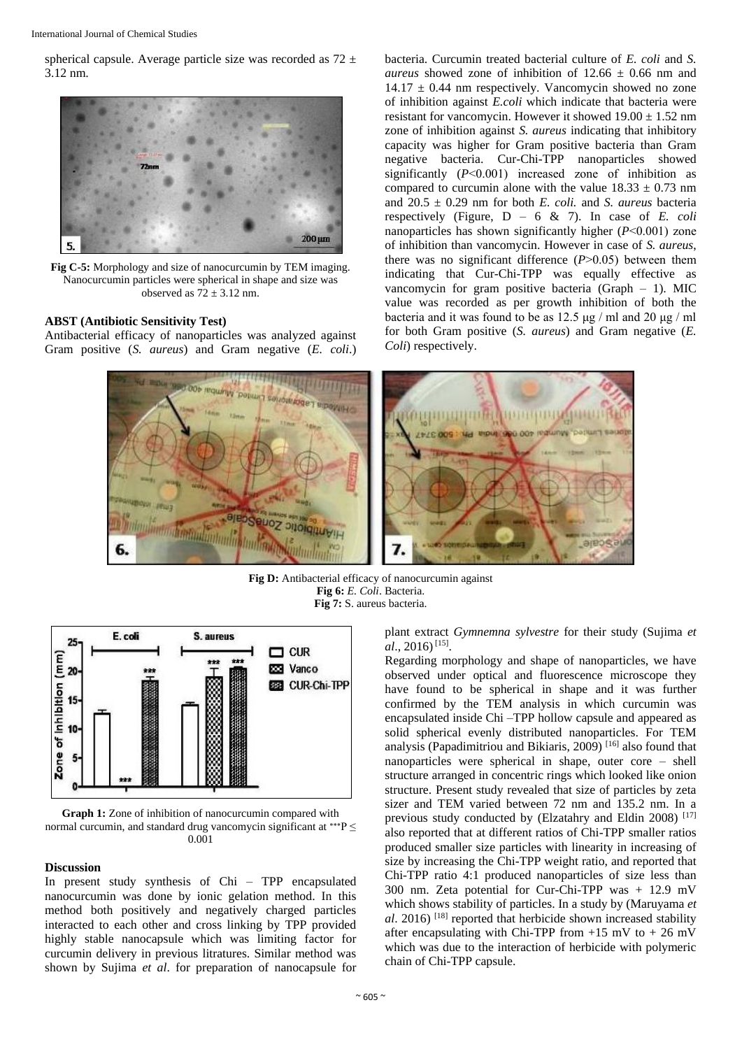spherical capsule. Average particle size was recorded as  $72 \pm$ 3.12 nm.



**Fig C-5:** Morphology and size of nanocurcumin by TEM imaging. Nanocurcumin particles were spherical in shape and size was observed as  $72 \pm 3.12$  nm.

#### **ABST (Antibiotic Sensitivity Test)**

Antibacterial efficacy of nanoparticles was analyzed against Gram positive (*S. aureus*) and Gram negative (*E. coli*.) bacteria. Curcumin treated bacterial culture of *E. coli* and *S. aureus* showed zone of inhibition of  $12.66 \pm 0.66$  nm and  $14.17 \pm 0.44$  nm respectively. Vancomycin showed no zone of inhibition against *E.coli* which indicate that bacteria were resistant for vancomycin. However it showed  $19.00 \pm 1.52$  nm zone of inhibition against *S. aureus* indicating that inhibitory capacity was higher for Gram positive bacteria than Gram negative bacteria. Cur-Chi-TPP nanoparticles showed significantly  $(P<0.001)$  increased zone of inhibition as compared to curcumin alone with the value  $18.33 \pm 0.73$  nm and 20.5 ± 0.29 nm for both *E. coli.* and *S. aureus* bacteria respectively (Figure, D – 6 & 7). In case of *E. coli* nanoparticles has shown significantly higher (*P*˂0.001) zone of inhibition than vancomycin. However in case of *S. aureus*, there was no significant difference  $(P>0.05)$  between them indicating that Cur-Chi-TPP was equally effective as vancomycin for gram positive bacteria (Graph – 1). MIC value was recorded as per growth inhibition of both the bacteria and it was found to be as 12.5 μg / ml and 20 μg / ml for both Gram positive (*S. aureus*) and Gram negative (*E. Coli*) respectively.



**Fig D:** Antibacterial efficacy of nanocurcumin against **Fig 6:** *E. Coli*. Bacteria. **Fig 7:** S. aureus bacteria.



**Graph 1:** Zone of inhibition of nanocurcumin compared with normal curcumin, and standard drug vancomycin significant at \*\*\* P  $\leq$ 0.001

#### **Discussion**

In present study synthesis of Chi – TPP encapsulated nanocurcumin was done by ionic gelation method. In this method both positively and negatively charged particles interacted to each other and cross linking by TPP provided highly stable nanocapsule which was limiting factor for curcumin delivery in previous litratures. Similar method was shown by Sujima *et al*. for preparation of nanocapsule for plant extract *Gymnemna sylvestre* for their study (Sujima *et al.*, 2016)<sup>[15]</sup>.

Regarding morphology and shape of nanoparticles, we have observed under optical and fluorescence microscope they have found to be spherical in shape and it was further confirmed by the TEM analysis in which curcumin was encapsulated inside Chi –TPP hollow capsule and appeared as solid spherical evenly distributed nanoparticles. For TEM analysis (Papadimitriou and Bikiaris,  $2009$ )<sup>[16]</sup> also found that nanoparticles were spherical in shape, outer core – shell structure arranged in concentric rings which looked like onion structure. Present study revealed that size of particles by zeta sizer and TEM varied between 72 nm and 135.2 nm. In a previous study conducted by (Elzatahry and Eldin 2008)<sup>[17]</sup> also reported that at different ratios of Chi-TPP smaller ratios produced smaller size particles with linearity in increasing of size by increasing the Chi-TPP weight ratio, and reported that Chi-TPP ratio 4:1 produced nanoparticles of size less than 300 nm. Zeta potential for Cur-Chi-TPP was + 12.9 mV which shows stability of particles. In a study by (Maruyama *et al*. 2016) [18] reported that herbicide shown increased stability after encapsulating with Chi-TPP from  $+15$  mV to  $+26$  mV which was due to the interaction of herbicide with polymeric chain of Chi-TPP capsule.